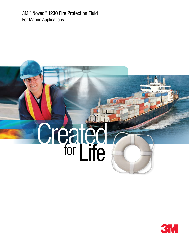3M™ Novec™ 1230 Fire Protection Fluid For Marine Applications

# **Computer Calcu**<br>for Life

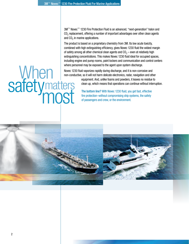3M™ Novec™ 1230 Fire Protection Fluid is an advanced, "next-generation" halon and CO<sub>2</sub> replacement, offering a number of important advantages over other clean agents and  $CO<sub>2</sub>$  in marine applications.

The product is based on a proprietary chemistry from 3M. Its low acute toxicity, combined with high extinguishing efficiency, gives Novec 1230 fluid the widest margin of safety among all other chemical clean agents and  $CO<sub>2</sub>$  – even at relatively high extinguishing concentrations. This makes Novec 1230 fluid ideal for occupied spaces, including engine and pump rooms, paint lockers and communication and control centers where personnel may be exposed to the agent upon system discharge.

Novec 1230 fluid vaporizes rapidly during discharge, and it is non-corrosive and non-conductive, so it will not harm delicate electronics, radar, navigation and other equipment. And, unlike foams and powders, it leaves no residue to

clean up, which means that operations can continue without interruption.

# **When**<br>safety<sub>m</sub> **matters** most

The bottom line? With Novec 1230 fluid, you get fast, effective fire protection–without compromising ship systems, the safety of passengers and crew, or the environment.



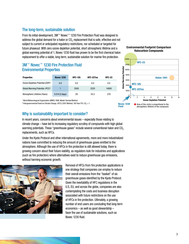# The long-term, sustainable solution

From its initial development, 3M™ Novec™ 1230 Fire Protection Fluid was designed to address the global demand for a halon or  $CO<sub>2</sub>$  replacement that is safe, effective and not subject to current or anticipated regulatory restrictions, nor scheduled or targeted for future phaseout. With zero ozone depletion potential, short atmospheric lifetime and a global warming potential of 1, Novec 1230 fluid has proven to be the first chemical halon replacement to offer a viable, long-term, sustainable solution for marine fire protection.

# 3M™ Novec™ 1230 Fire Protection Fluid Environmental Properties

| <b>Properties</b>                            | <b>Novec 1230</b>       | <b>HFC-125</b> | HFC-227ea | <b>HFC-23</b> |
|----------------------------------------------|-------------------------|----------------|-----------|---------------|
| Ozone Depletion Potential (ODP) <sup>1</sup> | 0.0                     | 0.0            | 0.0       | 0.0           |
| Global Warming Potential-IPCC <sup>2</sup>   |                         | 3500           | 3220      | 14800         |
| Atmospheric Lifetime (Years)                 | $0.014(5 \text{ days})$ | 29             | 34.2      | 270           |

1 World Meteorological Organization (WMO) 1998, Model-Derived Method.

<sup>2</sup> Intergovernmental Panel on Climate Change. (IPCC) 2007 Method, 100 Year ITH,  $CO<sub>2</sub> = 1$ .



In recent years, concerns about environmental issues – especially those relating to climate change – have led to increasing regulatory scrutiny of compounds with high global warming potentials. These "greenhouse gases" include several conventional halon and CO<sub>2</sub> replacements, such as HFCs.

Under the Kyoto Protocol and other international agreements, more and more industrialized nations have committed to reducing the amount of greenhouse gases emitted to the atmosphere. Although the use of HFCs in fire protection is still allowed today, there is growing concern about their future viability, as regulators look for industries and applications (such as fire protection) where alternatives exist to reduce greenhouse gas emissions, without harming economic growth.



Removal of HFCs from fire protection applications is one strategy that companies can employ to reduce their overall emissions from the "basket" of six greenhouse gases identified by the Kyoto Protocol. Given the inevitability of HFC regulations in the U.S, EU, and across the globe, companies are also contemplating the costs and business disruption associated with future restrictions on the use of HFCs in fire protection. Ultimately, a growing number of end-users are concluding that long-term economics – as well as good stewardship – favor the use of sustainable solutions, such as Novec 1230 fluid.

**Environmental Footprint Comparison Halocarbon Compounds**

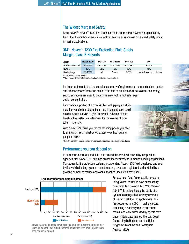# The Widest Margin of Safety

Because 3M™ Novec<sup>™</sup> 1230 Fire Protection Fluid offers a much wider margin of safety than other halocarbon agents, its effective use concentration will not exceed safety limits in marine applications.

# 3M™ Novec™ 1230 Fire Protection Fluid Safety Margin-Class B Hazards

| Agent                          | <b>Novec 1230</b> | <b>HFC-125</b> | HFC-227ea     | <b>Inert Gas</b> | CO <sub>2</sub>                |  |  |
|--------------------------------|-------------------|----------------|---------------|------------------|--------------------------------|--|--|
| Use Concentration <sup>1</sup> | $4.2 - 5.9%$      | $8.7 - 12.1%$  | $6.25 - 8.7%$ | $34.2 - 40.6\%$  | 30-75%                         |  |  |
| NOAEL <sup>2</sup>             | 10%               | 7.5%           | 9%            | 43%              | $< 5\%$                        |  |  |
| Safety Margin                  | 69-138%           | nil            | $3 - 44%$     | $6 - 26%$        | Lethal at design concentration |  |  |
|                                |                   |                |               |                  |                                |  |  |

1 2008 NFPA 2001 and NFPA 12

<sup>2</sup> NOAEL for cardiac sensitization (halocarbons) and effects specific to  $CO<sub>2</sub>$ 

It's important to note that the complex geometry of engine rooms, communications centers and other shipboard locations makes it difficult to calculate their net volume accurately; such calculations are used to determine an effective (but safe) agent design concentration.

If a significant portion of a room is filled with piping, conduits, machinery and other obstructions, agent concentration could quickly exceed its NOAEL (No Observable Adverse Effects Level), if the system was designed for the volume of room when it is empty.

With Novec 1230 fluid, you get the stopping power you need to extinguish fires in obstructed spaces—without putting people at risk.\*

\*Industry standards require egress from a protected enclosure prior to system discharge

# Performance you can depend on

In numerous laboratory and field tests around the world, witnessed by independent agencies, 3M Novec 1230 fluid has proven its effectiveness in marine flooding applications. Consequently, fire protection systems incorporating Novec 1230 fluid, developed and sold by the world's leading systems manufacturers, have been registered and certified by a growing number of marine approval authorities (see list on next page).



Novec 1230 fluid knocks down fires in about one quarter the time of inert gas/CO<sub>2</sub> agents. Fast extinguishment helps keep fires small, giving them less chance to spread.

For example, fixed fire protection systems using Novec 1230 fluid have successfully completed test protocol IMO MSC Circular #848. This protocol tests the ability of a system to extinguish effectively a variety of fires in total flooding applications. The fires occurred in a 500  $m<sup>3</sup>$  test enclosure, simulating machinery rooms and pump rooms, and were witnessed by agents from Underwriters Laboratories, the U.S. Coast Guard, Lloyd's Register and the United Kingdom's Maritime and Coastguard Agency (MCA).

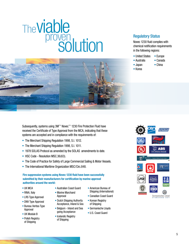# viable solution The proven



# Regulatory Status

Novec 1230 fluid complies with chemical notification requirements in the following regions:

- United States Europe
- Australia Canada
- Japan China
- Korea

Subsequently, systems using 3M™ Novec™ 1230 Fire Protection Fluid have received the Certificate of Type Approval from the MCA, indicating that these systems are accepted and in compliance with the requirements of:

- The Merchant Shipping Regulation 1998, S.I. 1012.
- The Merchant Shipping Regulation 1998, S.I. 1011.
- 1978 SOLAS Protocol as amended by the SOLAS amendments to date.
- HSC Code Resolution MSC.36(63).
- The Code of Practice for Safety of Large Commercial Sailing & Motor Vessels.
- The International Maritime Organization MSC/Circ.848.

**Fire suppression systems using Novec 1230 fluid have been successfully submitted by their manufacturers for certification by marine approval authorities around the world:**

- UK MCA
- RINA, Italy
- LRS Type Approval
- DNV Type Approval
- Bureau Veritas Type Approval
- UK Module B
- Polish Registry of Shipping
- Australian Coast Guard • Marine Marchand
- Approval • Dutch Shipping Authority
- Acceptance, Inland & Sea • Belgium - Inland and Sea
- going Acceptance • Icelandic Registry of Shipping
- American Bureau of Shipping (International)
- Canadian Coast Guard
- Korean Registry of Shipping
- Germanische Lloyds
- U.S. Coast Guard

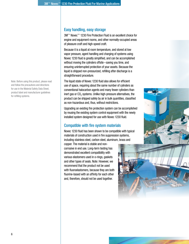Note: Before using this product, please read and follow the precautions and directions for use in the Material Safety Data Sheet, product label and manufacturer guidelines for refilling systems.

## Easy handling, easy storage

3M™ Novec™ 1230 Fire Protection Fluid is an excellent choice for engine and equipment rooms, and other normally-occupied areas of pleasure craft and high-speed craft.

Because it is a liquid at room temperature, and stored at low vapor pressure, agent handling and charging of systems using Novec 1230 fluid is greatly simplified, and can be accomplished without moving the cylinders offsite–saving you time, and ensuring uninterrupted protection of your assets. Because the liquid is shipped non-pressurized, refilling after discharge is a straightforward procedure.

The liquid state of Novec 1230 fluid also allows for efficient use of space, requiring about the same number of cylinders as conventional halocarbon agents and many fewer cylinders than inert gas or  $CO<sub>2</sub>$  systems. Unlike high-pressure alternatives, the product can be shipped safely by air in bulk quantities, classified as non-hazardous and, thus, without restrictions.

Upgrading an existing fire protection system can be accomplished by reusing the existing system control equipment with the newly installed system designed for use with Novec 1230 fluid.

# Compatible with fire system materials

Novec 1230 fluid has been shown to be compatible with typical materials of construction used in fire suppression systems, including stainless steel, carbon steel, aluminum, brass and

copper. The material is stable and noncorrosive in end use. Long-term testing has demonstrated excellent compatibility with various elastomers used in o-rings, gaskets and other types of seals. Note: However, we recommend that the product not be used with fluoroelastomers, because they are both fluorine-based with an affinity for each other and, therefore, should not be used together.





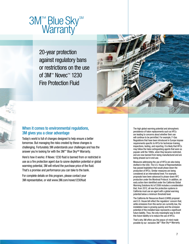

20-year protection against regulatory bans or restrictions on the use of 3M<sup>™</sup> Novec<sup>™</sup> 1230 Fire Protection Fluid



# When it comes to environmental regulations, 3M gives you a clear advantage

Today's world is full of changes designed to help ensure a better tomorrow. But managing the risks created by these changes is challenging. Fortunately 3M understands your challenges and has the answer you're looking for with the 3M™ Blue Sky<sup>SM</sup> Warranty.

Here's how it works: if Novec 1230 fluid is banned from or restricted in use as a fire protection agent due to ozone depletion potential or global warming potential, 3M will refund the purchase price of the fluid. That's a promise and performance you can take to the bank.

For complete details on this program, please contact your 3M representative, or visit www.3M.com/novec1230fluid

The high global warming potential and atmospheric persistence of halon replacements such as HFCs are leading to concerns about whether their use will continue to be permitted. For example, F-Gas Regulations that have been introduced in Europe impose requirements specific to HFCs for technician training, inspections, testing, and reporting. It is likely that HFCs may follow the halon extinguishing agents that were so popular until the 1990s, when they became restricted, and are now banned from being manufactured and are being phased out in end use.

Measures addressing the use of HFCs are also being drafted in the USA. The U.S. House of Representatives has passed legislation that would phase down the production of HFCs. Similar measures are being considered at an international level. For example, proposals have been advanced to phase-down HFC production under the Montreal Protocol. In addition, an early action item identified under the California Global Warming Solutions Act of 2006 includes a consideration that, from 2012, all new fire protection systems in California must use an agent with a global warming potential below a minimum threshold level.

The California Air Resources Board (CARB) proposal and U.S. House bill reflect the regulators' concern that, while emissions from this sector are currently low, the installation base is growing quickly and the emission potential of this installed base represents a significant future liability. Thus, the only meaningful way to limit this future liability is to reduce the use of HFCs.

That's why 3M offers you the peace-of-mind made possible by our exclusive 3M™ Blue Sky<sup>SM</sup> Warranty.